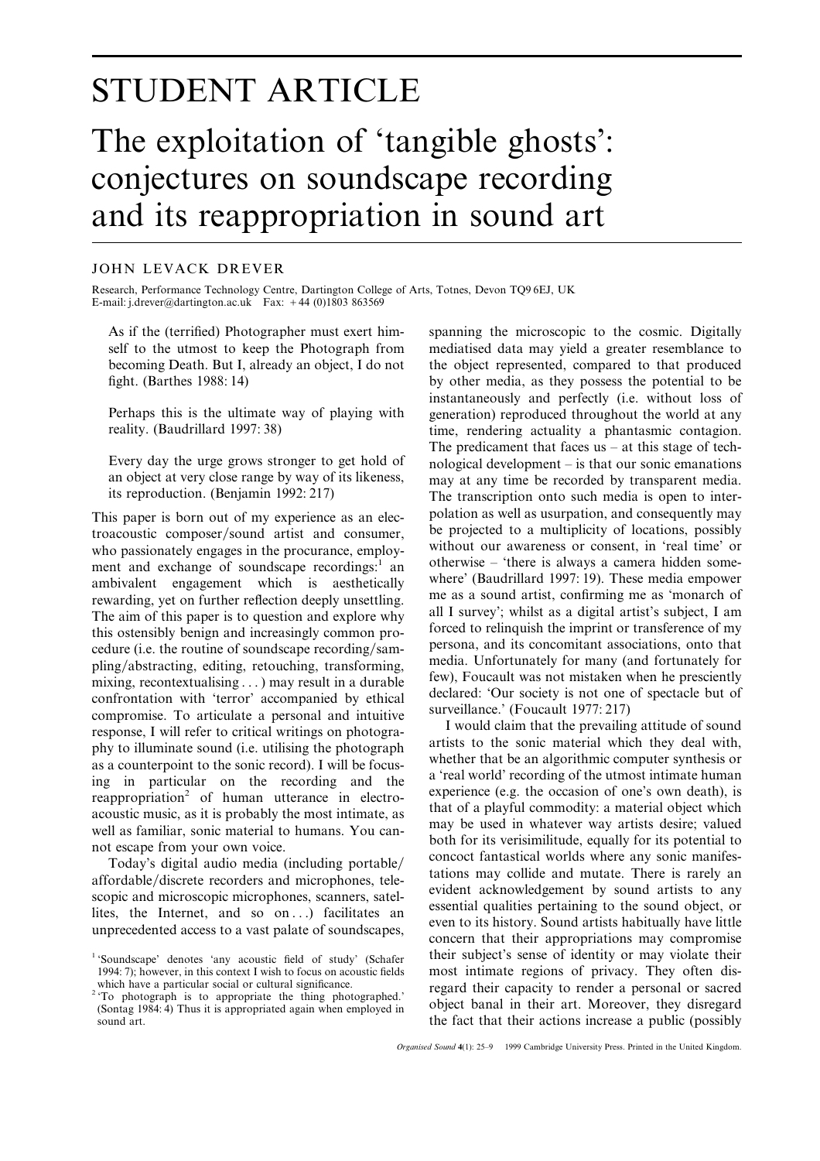## STUDENT ARTICLE

# The exploitation of 'tangible ghosts': conjectures on soundscape recording and its reappropriation in sound art

## JOHN LEVACK DREVER

Research, Performance Technology Centre, Dartington College of Arts, Totnes, Devon TQ9 6EJ, UK E-mail: j.drever@dartington.ac.uk Fax:  $+44$  (0)1803 863569

troacoustic composer/sound artist and consumer, be projected to a multiplicity of locations, possibly<br>without our awareness or consent, in 'real time' or who passionately engages in the procurance, employ-<br>ment and exchange of soundscape recordings<sup>1</sup> and otherwise – 'there is always a camera hidden somement and exchange of soundscape recordings: $\frac{1}{1}$  and ambivalent engagement which is aesthetically where' (Baudrillard 1997: 19). These media empower<br>rewarding, yet on further reflection deeply unsettling.<br>The aim of this paper is to question and explore why all I survey'; wh The aim of this paper is to question and explore why all I survey'; whilst as a digital artist's subject, I am<br>this ostansibly benian and increasingly common profit forced to relinquish the imprint or transference of my this ostensibly benign and increasingly common pro-<br>
educe (i.e. the routine of soundscape recording/sam-<br>
persona, and its concomitant associations, onto that<br>
persona, and its concomitant associations, onto that<br>
persona pling/abstracting, editing, retouching, transforming, media. Unfortunately for many (and fortunately for plingy abstracting) may result in a durable few). Foucault was not mistaken when he presciently mixing, recontextualising ...) may result in a durable the two represent was not mistaken when he presciently<br>confinential with the second contraction with the second contraction with the contraction with the contraction

As if the (terrified) Photographer must exert him- spanning the microscopic to the cosmic. Digitally self to the utmost to keep the Photograph from mediatised data may yield a greater resemblance to becoming Death. But I, already an object, I do not the object represented, compared to that produced fight. (Barthes 1988: 14) by other media, as they possess the potential to be instantaneously and perfectly (i.e. without loss of Perhaps this is the ultimate way of playing with generation) reproduced throughout the world at any reality. (Baudrillard 1997: 38) time, rendering actuality a phantasmic contagion. time, rendering actuality a phantasmic contagion. The predicament that faces us  $-$  at this stage of tech-Every day the urge grows stronger to get hold of nological development – is that our sonic emanations an object at very close range by way of its likeness, may at any time be recorded by transparent media an object at very close range by way of its likeness, may at any time be recorded by transparent media.<br>its reproduction. (Benjamin 1992: 217) The transcription onto such media is open to inter-The transcription onto such media is open to inter-This paper is born out of my experience as an elec-<br>transposition as well as usurpation, and consequently may<br>trogcoustic composer/sound artist and consumer be projected to a multiplicity of locations, possibly

confrontation with 'terror' accompanied by ethical<br>confrontation with 'terror' accompanied by ethical<br>colared: 'Our society is not one of spectacle but of<br>compromise. To articulate a personal and intuitive<br>I would claim th <sup>1</sup> 'Soundscape' denotes 'any acoustic field of study' (Schafer their subject's sense of identity or may violate their 1994: 7); however, in this context I wish to focus on acoustic fields most intimate regions of privacy. most intimate regions of privacy. They often diswhich have a particular social or cultural significance.<br>
<sup>2</sup>To photograph is to appropriate the thing photographed.<br>
(Sontag 1984: 4) Thus it is appropriated again when employed in<br>
<sup>2</sup>To photograph is to appropriated aga sound art.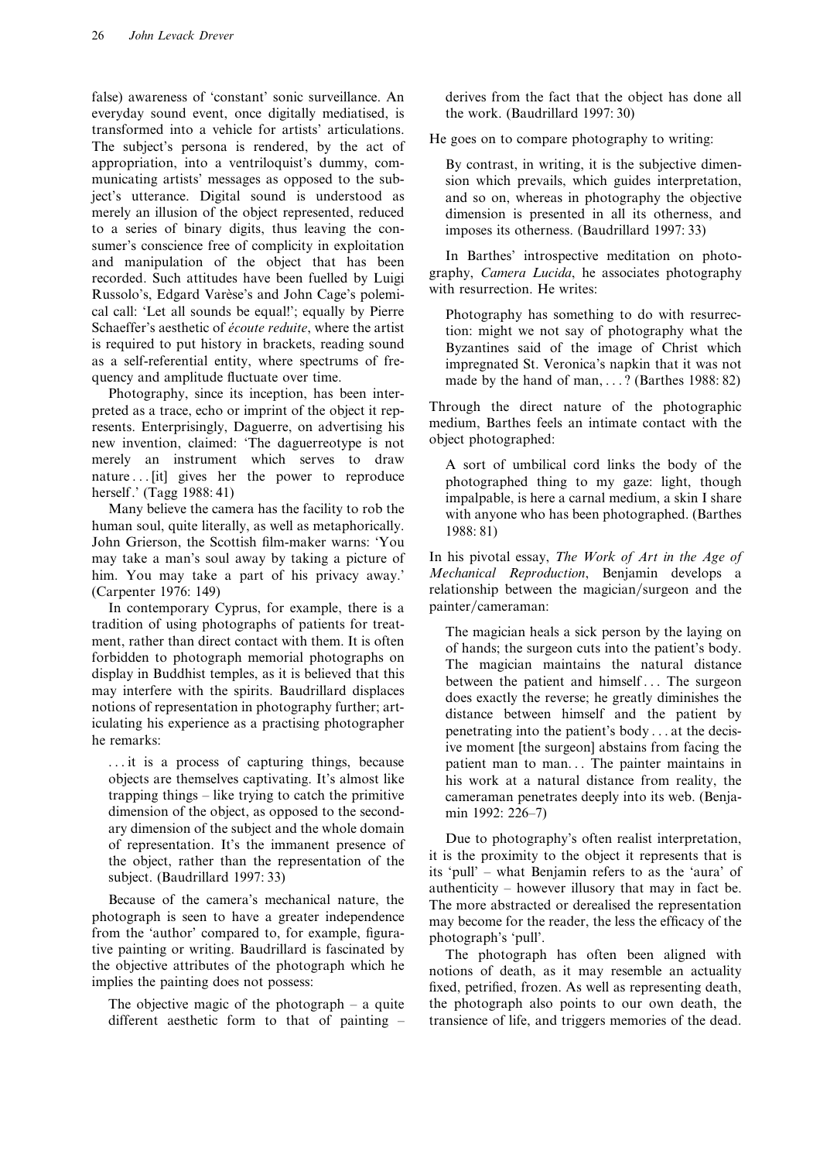false) awareness of 'constant' sonic surveillance. An derives from the fact that the object has done all everyday sound event, once digitally mediatised, is the work. (Baudrillard 1997: 30) transformed into a vehicle for artists' articulations. He goes on to compare photography to writing: The subject's persona is rendered, by the act of appropriation, into a ventriloquist's dummy, com-<br>By contrast, in writing, it is the subjective dimenmunicating artists' messages as opposed to the sub- sion which prevails, which guides interpretation, ject's utterance. Digital sound is understood as and so on, whereas in photography the objective merely an illusion of the object represented, reduced dimension is presented in all its otherness, and to a series of binary digits, thus leaving the con- imposes its otherness. (Baudrillard 1997: 33) sumer's conscience free of complicity in exploitation<br>and manipulation of the object that has been<br>recorded. Such attitudes have been fuelled by Luigi<br>Russolo's, Edgard Varèse's and John Cage's polemi-<br>with resurrection. H cal call: 'Let all sounds be equal!'; equally by Pierre Photography has something to do with resurrec-<br>Schaeffer's aesthetic of *écoute reduite*, where the artist in might we not say of photography what the Schaeffer's aesthetic of *écoute reduite*, where the artist tion: might we not say of photography what the is required to put history in brackets, reading sound is required to put history in brackets, reading sound<br>as a self-referential entity, where spectrums of fre-<br>impregnated St. Veronica's napkin that it was not as a self-referential entity, where spectrums of fre-<br>quency and amplitude fluctuate over time.<br>made by the hand of man and amplitude  $\frac{1}{8}$ .

ency and amplitude fluctuate over time. made by the hand of man,...? (Barthes 1988: 82)<br>Photography, since its inception, has been interpreted as a trace, echo or imprint of the object it rep-<br>resents. Enterprisingly, Daguerre, on advertising his<br>needium, Barthes feels an intimate contact with the<br>new invention, claimed: 'The daguerreotype is not<br>object ph

may take a man's soul away by taking a picture of In his pivotal essay, The Work of Art in the Age of him. You may take a part of his privacy away.' Mechanical Reproduction, Benjamin develops a (Carpenter 1976: 149) relationship between the magician/surgeon and the

In contemporary Cyprus, for example, there is a painter/cameraman: tradition of using photographs of patients for treat-<br>
ment, rather than direct contact with them. It is often<br>
forbidden to photograph memorial photographs on<br>
display in Buddhist temples, as it is believed that this<br>
may

... it is a process of capturing things, because patient man to man... The painter maintains in objects are themselves captivating. It's almost like his work at a natural distance from reality, the trapping things – like trying to catch the primitive cameraman penetrates deeply into its web. (Benjadimension of the object, as opposed to the second- min 1992: 226–7)

merely an instrument which serves to draw<br>
nature...[it] gives her the power to reproduce<br>
herself.' (Tagg 1988: 41)<br>
Many believe the camera has the facility to rob the<br>
human soul, quite literally, as well as metaphorica

ary dimension of the subject and the whole domain<br>of representation. It's the immanent presence of<br>the object, rather than the representation of the<br>its 'pull' – what Benjamin refers to as the 'aura' of<br>subject. (Baudrilla

The objective magic of the photograph – a quite the photograph also points to our own death, the different aesthetic form to that of painting – transience of life, and triggers memories of the dead.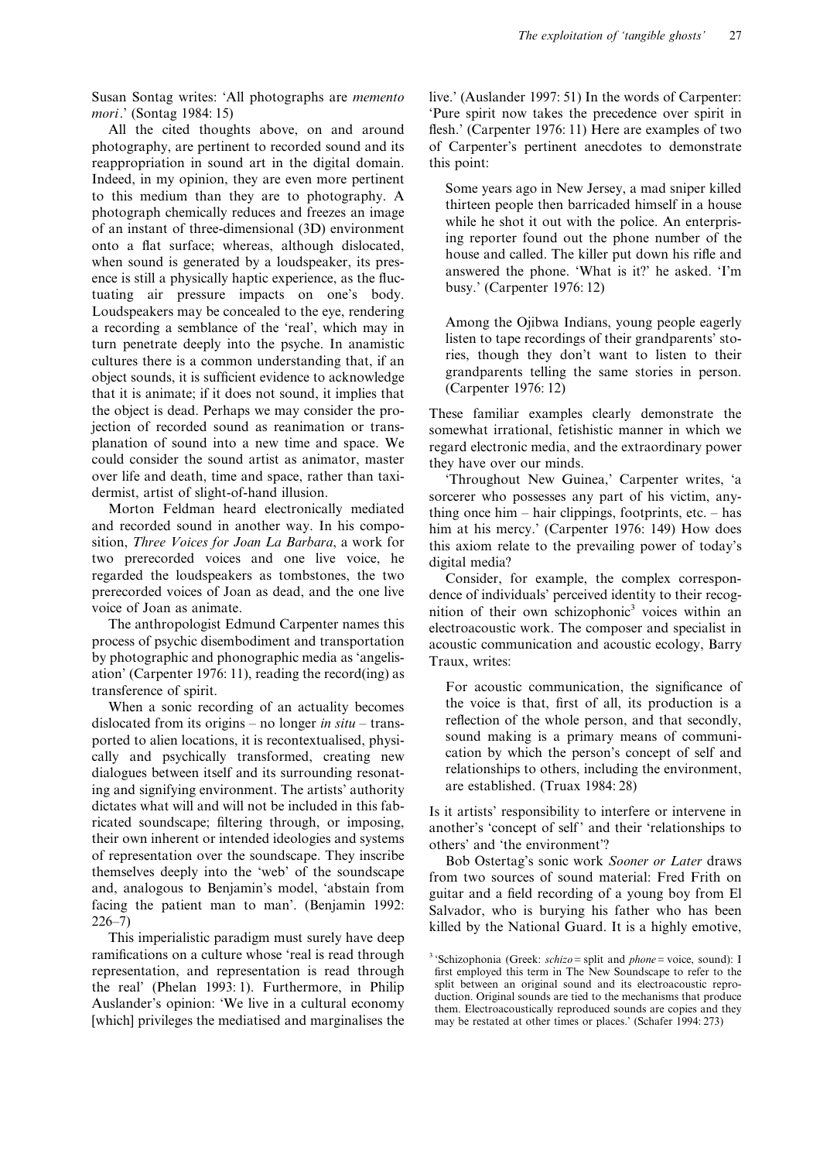Susan Sontag writes: 'All photographs are *memento* live.' (Auslander 1997: 51) In the words of Carpenter:

photography, are pertinent to recorded sound and its of Carpenter's pertinent anecdotes to demonstrate reappropriation in sound art in the digital domain. this point: Variation and the photograph chemically reduces and freezes an image<br>
of an instant of three-dimensional (3D) environment<br>
of an instant of three-dimensional (3D) environment<br>
onto a flat surface; whereas, although disloca Loudspeakers may be concealed to the eye, rendering<br>a recording a semblance of the 'real', which may in<br>turn penetrate deeply into the psyche. In anamistic<br>cultures there is a common understanding that, if an<br>object sounds the object is dead. Perhaps we may consider the pro-<br>intervals are familiar examples clearly demonstrate the<br>intervals of recorded sound as reanimation or trans-<br>somewhat irrational fetishistic manner in which we jection of recorded sound as reanimation or trans-<br>planation of sound into a new time and space. We regard electronic media and the extraordinary power could consider the sound artist as animator, master they have over our minds.<br>over life and death, time and space, rather than taxi-<br>Throughout New Gui over life and death, time and space, rather than taxi-<br>dermist, artist of slight-of-hand illusion.<br>sorcerer who possesses any part of his victim any-

Morton Feldman heard electronically mediated thing once him – hair clippings, footprints, etc. – has and recorded sound in another way. In his compo-<br> $\frac{1}{2}$  him at his mercy, Carpenter 1976: 149) How does sition, Three Voices for Joan La Barbara, a work for this axiom relate to the prevailing power of today's two prerecorded voices and one live voice, he digital media?<br>regarded the loudspeakers as tombstones, the two Consider regarded the loudspeakers as tombstones, the two<br>preference of the complex correspon-<br>preference of individuals' perceived identity to their recogprerecorded voices of Joan as dead, and the one live dence of individuals' perceived identity to their recog-<br>voice of Joan as animate.

The anthropologist Edmund Carpenter names this electroacoustic work. The composer and specialist in process of psychic disembodiment and transportation acquisite communication and acquisite ecology. Barry by photographic and phonographic media as 'angelis- Traux, writes: ation' (Carpenter 1976: 11), reading the record(ing) as<br>
For acoustic communication, the significance of<br>
When a sonic recording of an actuality becomes<br>
the voice is that, first of all, its production is a

When a sonic recording of an actuality becomes the voice is that, first of all, its production is a located from its origins – no longer in situ – trans. dislocated from its origins – no longer in  $situ$  – trans-<br>norted to alien locations it is recontextualised physi-<br>sound making is a primary means of communiported to alien locations, it is recontextualised, physi-<br>
ported to ally and psychically transformed creating new cation by which the person's concept of self and cally and psychically transformed, creating new cation by which the person's concept of self and dialogues between itself and its surrounding resonat-<br>clationships to others, including the environment, dialogues between itself and its surrounding resonat-<br>the environment. The environment of the environment of the environment, The environment of the environment of the environment of the environment of the environment of t ing and signifying environment. The artists' authority dictates what will and will not be included in this fab-<br>ricated soundscape; filtering through, or imposing,<br>their own inherent or intended ideologies and systems<br>of representation over the soundscape. They inscribe<br> $\frac{1}{$ themselves deeply into the 'web' of the soundscape<br>
from two sources of sound material: Fred Frith on<br>
and, analogous to Benjamin's model, 'abstain from<br>
quitar and a field recording of a young boy from Fl

ramifications on a culture whose 'real is read through  $\frac{3}{2}$ 'Schizophonia (Greek: *schizo* = split and *phone* = voice, sound): I representation, and representation is read through first employed this term in The New the real' (Phelan 1993: 1). Furthermore, in Philip split between an original sound and its electroacoustic repro-<br>Auslander's opinion: 'We live in a cultural economy them. Electroacoustically reproduced sounds are copies a [which] privileges the mediatised and marginalises the may be restated at other times or places.' (Schafer 1994: 273)

mori.' (Sontag 1984: 15) 'Pure spirit now takes the precedence over spirit in All the cited thoughts above, on and around flesh.' (Carpenter 1976: 11) Here are examples of two

regard electronic media, and the extraordinary power.

dermist, artist of slight-of-hand illusion.<br>Morton Feldman heard electronically mediated thing once him – hair clinnings footprints etc. – has him at his mercy.' (Carpenter 1976: 149) How does

ice of Joan as animate.<br>
The anthropologist Edmund Carpenter names this electroacoustic work. The composer and specialist in acoustic communication and acoustic ecology, Barry

Bob Ostertag's sonic work Sooner or Later draws and, analogous to Benjamin's model, abstain from<br>facing the patient man to man'. (Benjamin 1992:<br>226–7)<br>This imperialistic paradigm must surely have deep<br>This imperialistic paradigm must surely have deep<br>tilled by the Nati

first employed this term in The New Soundscape to refer to the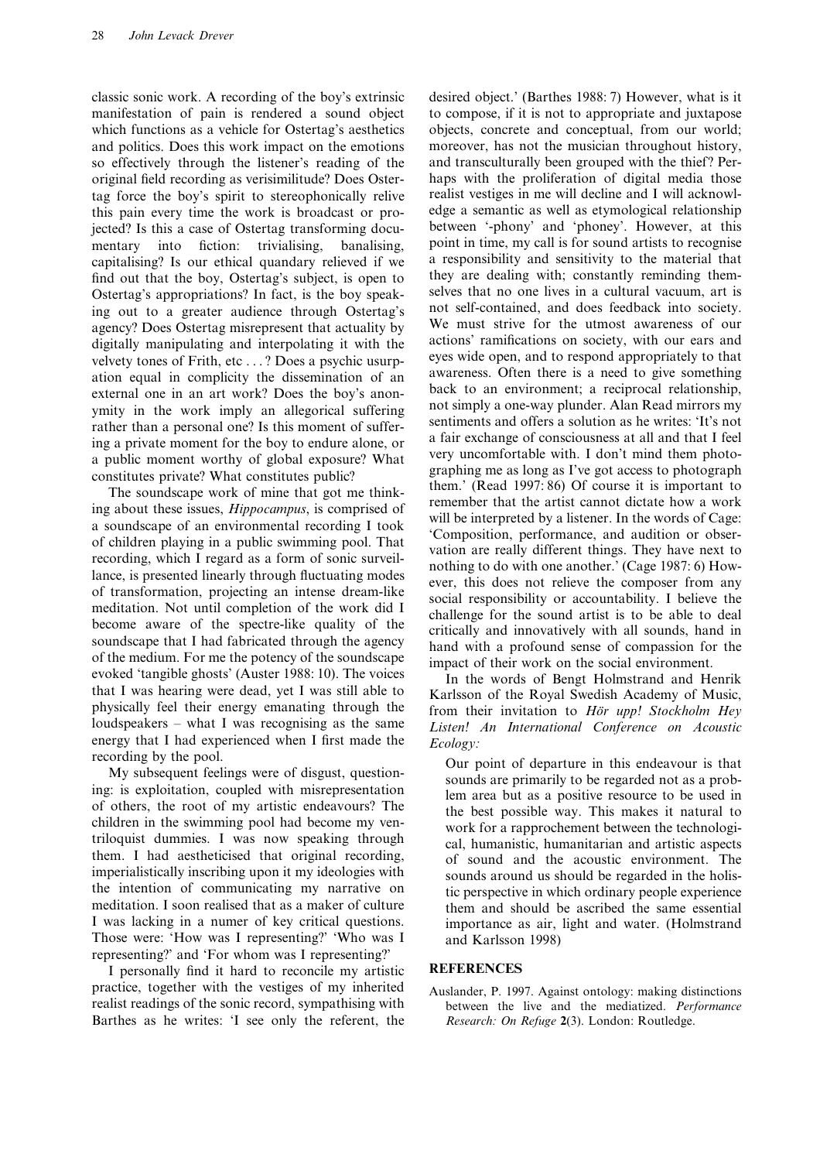classic sonic work. A recording of the boy's extrinsic desired object.' (Barthes 1988: 7) However, what is it manifestation of pain is rendered a sound object to compose, if it is not to appropriate and juxtapose which functions as a vehicle for Ostertag's aesthetics objects, concrete and conceptual, from our world; and politics. Does this work impact on the emotions moreover, has not the musician throughout history, so effectively through the listener's reading of the and transculturally been grouped with the thief? Per-<br>original field recording as verisimilitude? Does Oster-<br>haps with the proliferation of digital media those original field recording as verisimilitude? Does Oster-<br>tag force the boy's spirit to stereophonically relive realist vestiges in me will decline and I will acknowltag force the boy's spirit to stereophonically relive this pain every time the work is broadcast or pro- edge a semantic as well as etymological relationship jected? Is this a case of Ostertag transforming docu- between '-phony' and 'phoney'. However, at this mentary into fiction: trivialising, banalising, point in time, my call is for sound artists to recognise capitalising? Is our ethical quandary relieved if we a responsibility and sensitivity to the material that find out that the boy. Ostertag's subject is open to they are dealing with; constantly reminding themfind out that the boy, Ostertag's subject, is open to they are dealing with; constantly reminding them-<br>Ostertag's appropriations? In fact, is the boy speak-<br>selves that no one lives in a cultural vacuum, art is Ostertag's appropriations? In fact, is the boy speak-<br>in selves that no one lives in a cultural vacuum, art is<br>ing out to a greater audience through Ostertag's and self-contained, and does feedback into society.

energy that I had experienced when I first made the  $Ecology:$  recording by the pool.

them. I had aestheticised that original recording, of sound and the acoustic environment. The intention of communicating my narrative on the perspective in which ordinary people experience meditation. I soon realised that as a maker of culture them and should be ascribed the same essential I was lacking in a numer of key critical questions. importance as air, light and water. (Holmstrand Those were: 'How was I representing?' 'Who was I and Karlsson 1998) representing?' and 'For whom was I representing?'

I personally find it hard to reconcile my artistic REFERENCES practice, together with the vestiges of my inherited Auslander, P. 1997. Against ontology: making distinctions realist readings of the sonic record, sympathising with between the live and the mediatized. Performance Barthes as he writes: 'I see only the referent, the Research: On Refuge 2(3). London: Routledge.

ing out to a greater audience through Osterag's not self-contained, and does feedback into society, the subsequency? Does Osterda microplaing in which we actions' ramifications on society, with our ears and dependent that

My subsequent feelings were of disgust, question-<br>ing: is exploitation, coupled with misrepresentation<br>of others, the root of my artistic endeavours? The<br>children in the swimming pool had become my ven-<br>triloquist dummies.